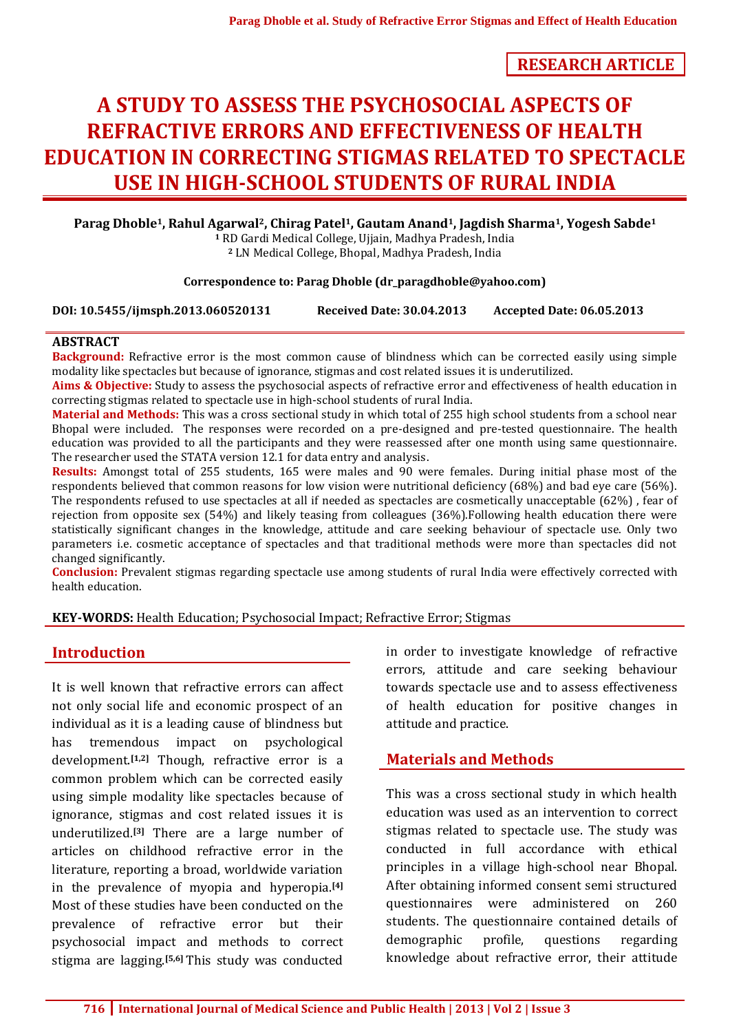**RESEARCH ARTICLE**

# **A STUDY TO ASSESS THE PSYCHOSOCIAL ASPECTS OF REFRACTIVE ERRORS AND EFFECTIVENESS OF HEALTH EDUCATION IN CORRECTING STIGMAS RELATED TO SPECTACLE USE IN HIGH-SCHOOL STUDENTS OF RURAL INDIA**

**Parag Dhoble1, Rahul Agarwal2, Chirag Patel1, Gautam Anand1, Jagdish Sharma1, Yogesh Sabde<sup>1</sup>**

**<sup>1</sup>** RD Gardi Medical College, Ujjain, Madhya Pradesh, India **<sup>2</sup>** LN Medical College, Bhopal, Madhya Pradesh, India

#### **Correspondence to: Parag Dhoble (dr\_paragdhoble@yahoo.com)**

**DOI: 10.5455/ijmsph.2013.060520131 Received Date: 30.04.2013 Accepted Date: 06.05.2013**

## **ABSTRACT**

**Background:** Refractive error is the most common cause of blindness which can be corrected easily using simple modality like spectacles but because of ignorance, stigmas and cost related issues it is underutilized.

**Aims & Objective:** Study to assess the psychosocial aspects of refractive error and effectiveness of health education in correcting stigmas related to spectacle use in high-school students of rural India.

**Material and Methods:** This was a cross sectional study in which total of 255 high school students from a school near Bhopal were included. The responses were recorded on a pre-designed and pre-tested questionnaire. The health education was provided to all the participants and they were reassessed after one month using same questionnaire. The researcher used the STATA version 12.1 for data entry and analysis.

**Results:** Amongst total of 255 students, 165 were males and 90 were females. During initial phase most of the respondents believed that common reasons for low vision were nutritional deficiency (68%) and bad eye care (56%). The respondents refused to use spectacles at all if needed as spectacles are cosmetically unacceptable (62%) , fear of rejection from opposite sex (54%) and likely teasing from colleagues (36%).Following health education there were statistically significant changes in the knowledge, attitude and care seeking behaviour of spectacle use. Only two parameters i.e. cosmetic acceptance of spectacles and that traditional methods were more than spectacles did not changed significantly.

**Conclusion:** Prevalent stigmas regarding spectacle use among students of rural India were effectively corrected with health education.

#### **KEY-WORDS:** Health Education; Psychosocial Impact; Refractive Error; Stigmas

## **Introduction**

It is well known that refractive errors can affect not only social life and economic prospect of an individual as it is a leading cause of blindness but has tremendous impact on psychological development.**[1,2]** Though, refractive error is a common problem which can be corrected easily using simple modality like spectacles because of ignorance, stigmas and cost related issues it is underutilized.**[3]** There are a large number of articles on childhood refractive error in the literature, reporting a broad, worldwide variation in the prevalence of myopia and hyperopia.**[4]** Most of these studies have been conducted on the prevalence of refractive error but their psychosocial impact and methods to correct stigma are lagging.**[5,6]** This study was conducted in order to investigate knowledge of refractive errors, attitude and care seeking behaviour towards spectacle use and to assess effectiveness of health education for positive changes in attitude and practice.

## **Materials and Methods**

This was a cross sectional study in which health education was used as an intervention to correct stigmas related to spectacle use. The study was conducted in full accordance with ethical principles in a village high-school near Bhopal. After obtaining informed consent semi structured questionnaires were administered on 260 students. The questionnaire contained details of demographic profile, questions regarding knowledge about refractive error, their attitude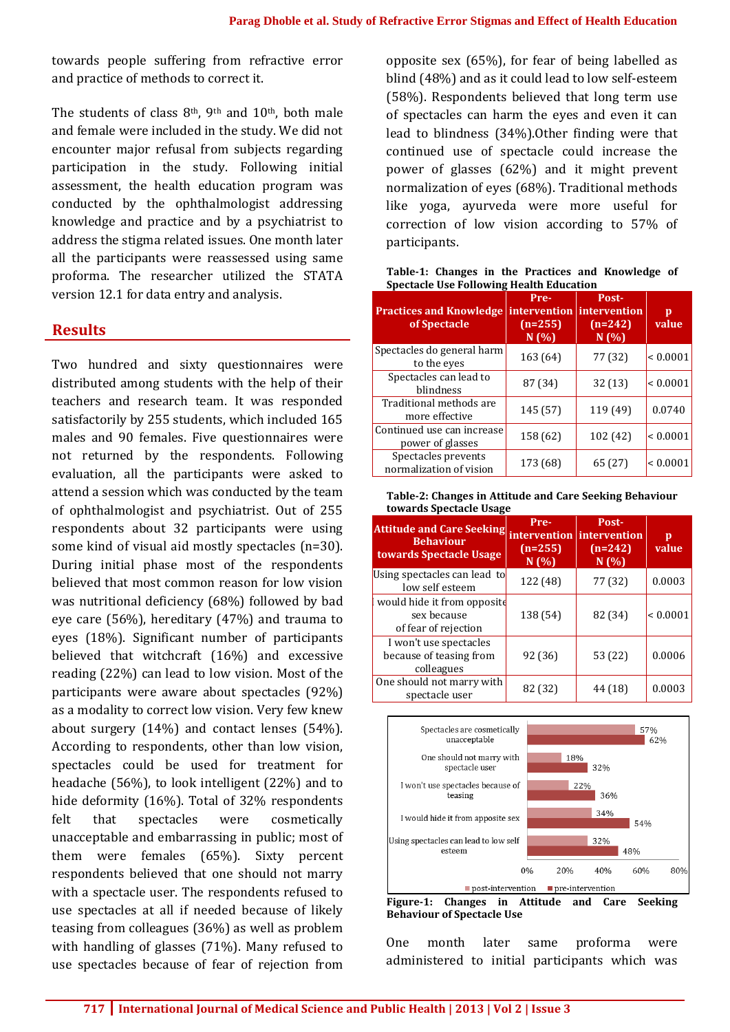towards people suffering from refractive error and practice of methods to correct it.

The students of class  $8<sup>th</sup>$ ,  $9<sup>th</sup>$  and  $10<sup>th</sup>$ , both male and female were included in the study. We did not encounter major refusal from subjects regarding participation in the study. Following initial assessment, the health education program was conducted by the ophthalmologist addressing knowledge and practice and by a psychiatrist to address the stigma related issues. One month later all the participants were reassessed using same proforma. The researcher utilized the STATA version 12.1 for data entry and analysis.

## **Results**

Two hundred and sixty questionnaires were distributed among students with the help of their teachers and research team. It was responded satisfactorily by 255 students, which included 165 males and 90 females. Five questionnaires were not returned by the respondents. Following evaluation, all the participants were asked to attend a session which was conducted by the team of ophthalmologist and psychiatrist. Out of 255 respondents about 32 participants were using some kind of visual aid mostly spectacles (n=30). During initial phase most of the respondents believed that most common reason for low vision was nutritional deficiency (68%) followed by bad eye care (56%), hereditary (47%) and trauma to eyes (18%). Significant number of participants believed that witchcraft (16%) and excessive reading (22%) can lead to low vision. Most of the participants were aware about spectacles (92%) as a modality to correct low vision. Very few knew about surgery (14%) and contact lenses (54%). According to respondents, other than low vision, spectacles could be used for treatment for headache (56%), to look intelligent (22%) and to hide deformity (16%). Total of 32% respondents felt that spectacles were cosmetically unacceptable and embarrassing in public; most of them were females (65%). Sixty percent respondents believed that one should not marry with a spectacle user. The respondents refused to use spectacles at all if needed because of likely teasing from colleagues (36%) as well as problem with handling of glasses (71%). Many refused to use spectacles because of fear of rejection from

opposite sex (65%), for fear of being labelled as blind (48%) and as it could lead to low self-esteem (58%). Respondents believed that long term use of spectacles can harm the eyes and even it can lead to blindness (34%).Other finding were that continued use of spectacle could increase the power of glasses (62%) and it might prevent normalization of eyes (68%). Traditional methods like yoga, ayurveda were more useful for correction of low vision according to 57% of participants.

**Table-1: Changes in the Practices and Knowledge of Spectacle Use Following Health Education**

| <b>Practices and Knowledge</b><br>of Spectacle | Pre-<br>intervention intervention<br>$(n=255)$<br>N(%) | Post-<br>$(n=242)$<br>N(%) | p<br>value   |
|------------------------------------------------|--------------------------------------------------------|----------------------------|--------------|
| Spectacles do general harm<br>to the eyes      | 163 (64)                                               | 77 (32)                    | ${}< 0.0001$ |
| Spectacles can lead to<br>blindness            | 87 (34)                                                | 32 (13)                    | ${}< 0.0001$ |
| Traditional methods are<br>more effective      | 145 (57)                                               | 119 (49)                   | 0.0740       |
| Continued use can increase<br>power of glasses | 158 (62)                                               | 102 (42)                   | ${}< 0.0001$ |
| Spectacles prevents<br>normalization of vision | 173 (68)                                               | 65 (27)                    | ${}< 0.0001$ |

**Table-2: Changes in Attitude and Care Seeking Behaviour towards Spectacle Usage**

| <b>Attitude and Care Seeking</b><br><b>Behaviour</b><br>towards Spectacle Usage | Pre-<br>$(n=255)$<br>N(%) | Post-<br>intervention intervention<br>$(n=242)$<br>N(%) | p<br>value   |
|---------------------------------------------------------------------------------|---------------------------|---------------------------------------------------------|--------------|
| Using spectacles can lead to<br>low self esteem                                 | 122 (48)                  | 77 (32)                                                 | 0.0003       |
| would hide it from opposite<br>sex because<br>of fear of rejection              | 138 (54)                  | 82 (34)                                                 | ${}< 0.0001$ |
| I won't use spectacles<br>because of teasing from<br>colleagues                 | 92 (36)                   | 53 (22)                                                 | 0.0006       |
| One should not marry with<br>spectacle user                                     | 82 (32)                   | 44 (18)                                                 | 0.0003       |



**Behaviour of Spectacle Use**

One month later same proforma were administered to initial participants which was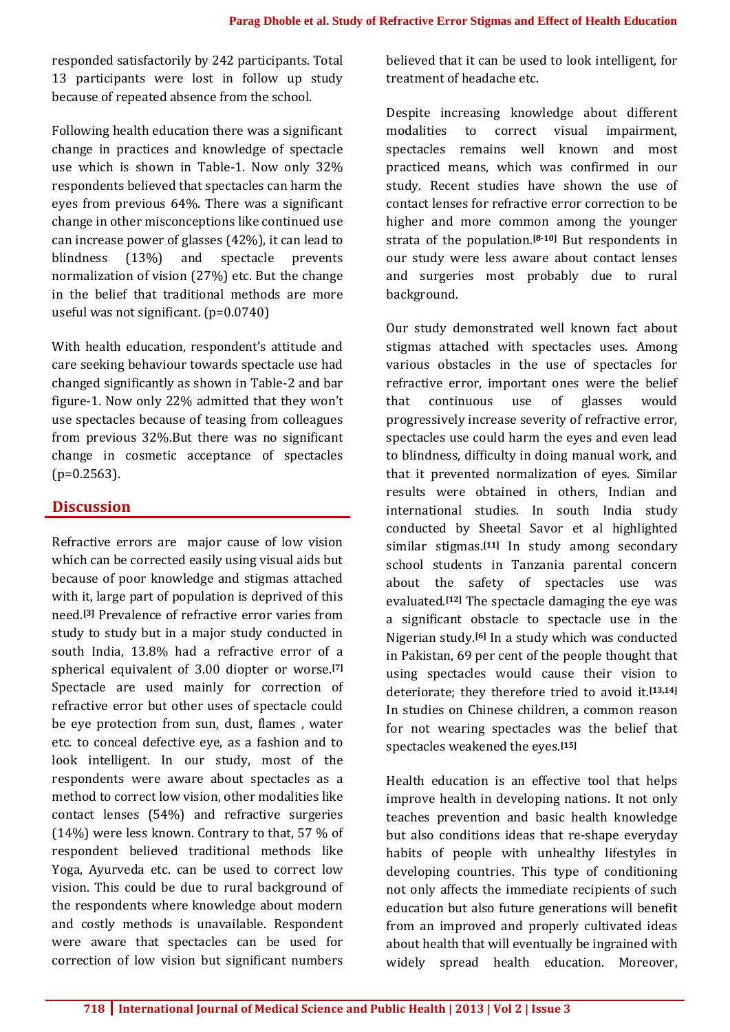responded satisfactorily by 242 participants. Total 13 participants were lost in follow up study because of repeated absence from the school.

Following health education there was a significant change in practices and knowledge of spectacle use which is shown in Table-1. Now only 32% respondents believed that spectacles can harm the eyes from previous 64%. There was a significant change in other misconceptions like continued use can increase power of glasses (42%), it can lead to blindness (13%) and spectacle prevents normalization of vision (27%) etc. But the change in the belief that traditional methods are more useful was not significant. (p=0.0740)

With health education, respondent's attitude and care seeking behaviour towards spectacle use had changed significantly as shown in Table-2 and bar figure-1. Now only 22% admitted that they won't use spectacles because of teasing from colleagues from previous 32%.But there was no significant change in cosmetic acceptance of spectacles  $(p=0.2563)$ .

## **Discussion**

Refractive errors are major cause of low vision which can be corrected easily using visual aids but because of poor knowledge and stigmas attached with it, large part of population is deprived of this need.**[3]** Prevalence of refractive error varies from study to study but in a major study conducted in south India, 13.8% had a refractive error of a spherical equivalent of 3.00 diopter or worse.**[7]** Spectacle are used mainly for correction of refractive error but other uses of spectacle could be eye protection from sun, dust, flames , water etc. to conceal defective eye, as a fashion and to look intelligent. In our study, most of the respondents were aware about spectacles as a method to correct low vision, other modalities like contact lenses (54%) and refractive surgeries (14%) were less known. Contrary to that, 57 % of respondent believed traditional methods like Yoga, Ayurveda etc. can be used to correct low vision. This could be due to rural background of the respondents where knowledge about modern and costly methods is unavailable. Respondent were aware that spectacles can be used for correction of low vision but significant numbers believed that it can be used to look intelligent, for treatment of headache etc.

Despite increasing knowledge about different modalities to correct visual impairment, spectacles remains well known and most practiced means, which was confirmed in our study. Recent studies have shown the use of contact lenses for refractive error correction to be higher and more common among the younger strata of the population.**[8-10]** But respondents in our study were less aware about contact lenses and surgeries most probably due to rural background.

Our study demonstrated well known fact about stigmas attached with spectacles uses. Among various obstacles in the use of spectacles for refractive error, important ones were the belief that continuous use of glasses would progressively increase severity of refractive error, spectacles use could harm the eyes and even lead to blindness, difficulty in doing manual work, and that it prevented normalization of eyes. Similar results were obtained in others, Indian and international studies. In south India study conducted by Sheetal Savor et al highlighted similar stigmas.**[11]** In study among secondary school students in Tanzania parental concern about the safety of spectacles use was evaluated.**[12]** The spectacle damaging the eye was a significant obstacle to spectacle use in the Nigerian study.**[6]** In a study which was conducted in Pakistan, 69 per cent of the people thought that using spectacles would cause their vision to deteriorate; they therefore tried to avoid it.**[13,14]** In studies on Chinese children, a common reason for not wearing spectacles was the belief that spectacles weakened the eyes.**[15]**

Health education is an effective tool that helps improve health in developing nations. It not only teaches prevention and basic health knowledge but also conditions ideas that re-shape everyday habits of people with unhealthy lifestyles in developing countries. This type of conditioning not only affects the immediate recipients of such education but also future generations will benefit from an improved and properly cultivated ideas about health that will eventually be ingrained with widely spread health education. Moreover,